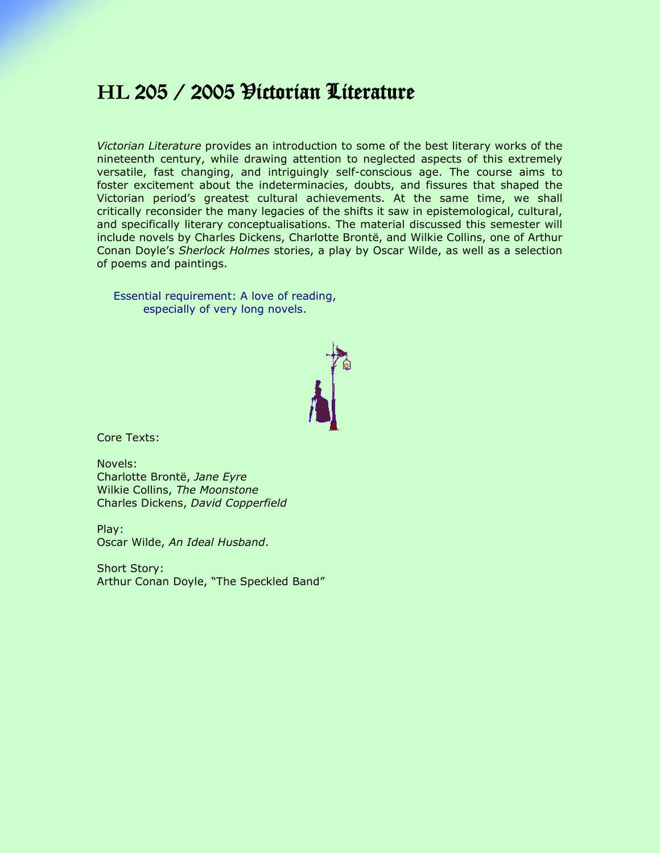## **HL** 205 / 2005 Victorian Literature

*Victorian Literature* provides an introduction to some of the best literary works of the nineteenth century, while drawing attention to neglected aspects of this extremely versatile, fast changing, and intriguingly self-conscious age. The course aims to foster excitement about the indeterminacies, doubts, and fissures that shaped the Victorian period's greatest cultural achievements. At the same time, we shall critically reconsider the many legacies of the shifts it saw in epistemological, cultural, and specifically literary conceptualisations. The material discussed this semester will include novels by Charles Dickens, Charlotte Brontë, and Wilkie Collins, one of Arthur Conan Doyle's *Sherlock Holmes* stories, a play by Oscar Wilde, as well as a selection of poems and paintings.

Essential requirement: A love of reading, especially of very long novels.



Core Texts:

Novels: Charlotte Brontë, *Jane Eyre* Wilkie Collins, *The Moonstone* Charles Dickens, *David Copperfield*

Play: Oscar Wilde, *An Ideal Husband*.

Short Story: Arthur Conan Doyle, "The Speckled Band"